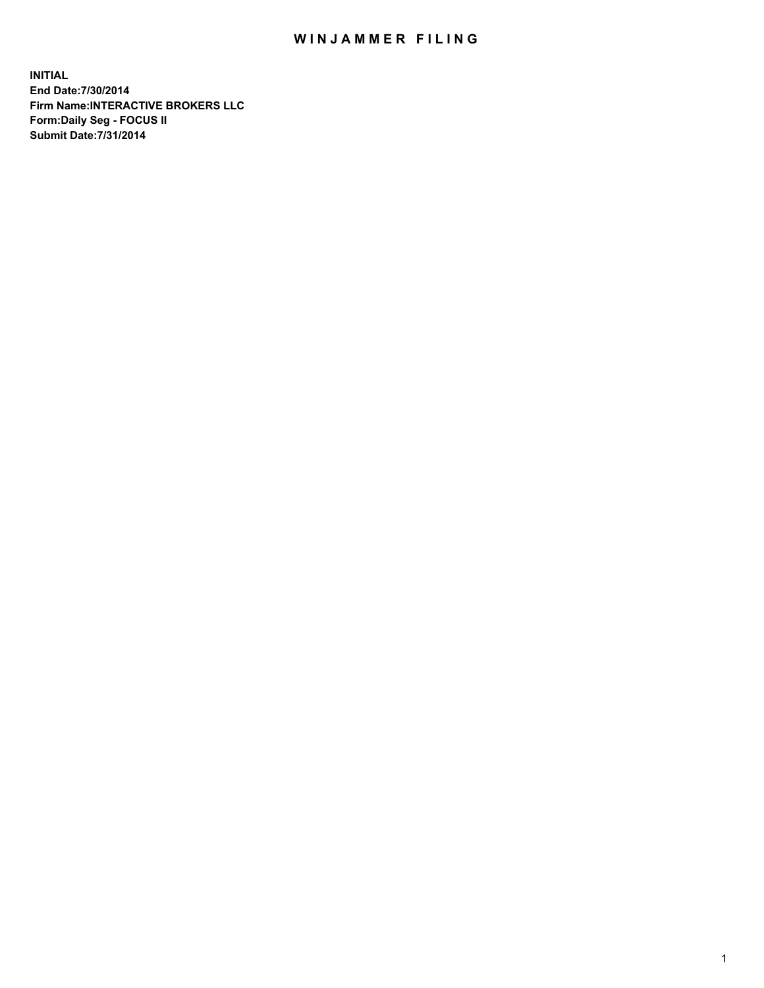## WIN JAMMER FILING

**INITIAL End Date:7/30/2014 Firm Name:INTERACTIVE BROKERS LLC Form:Daily Seg - FOCUS II Submit Date:7/31/2014**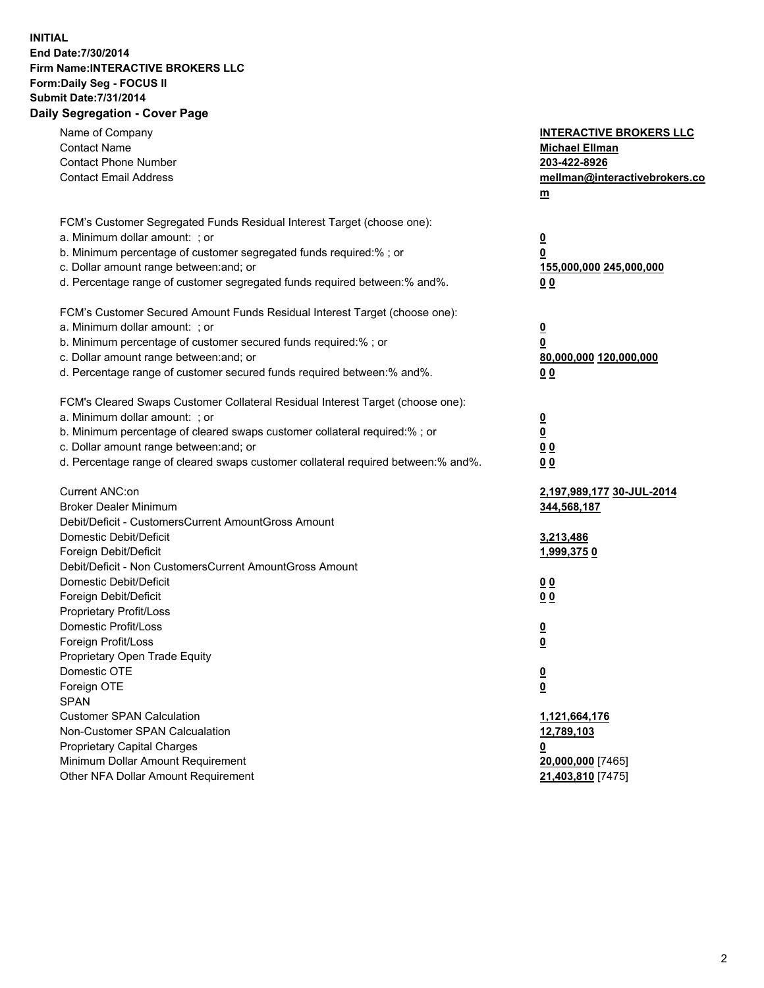## **INITIAL End Date:7/30/2014 Firm Name:INTERACTIVE BROKERS LLC Form:Daily Seg - FOCUS II Submit Date:7/31/2014 Daily Segregation - Cover Page**

| Name of Company<br><b>Contact Name</b><br><b>Contact Phone Number</b><br><b>Contact Email Address</b>                                                                                                                                                                                                                          | <b>INTERACTIVE BROKERS LLC</b><br><b>Michael Ellman</b><br>203-422-8926<br>mellman@interactivebrokers.co<br><u>m</u> |
|--------------------------------------------------------------------------------------------------------------------------------------------------------------------------------------------------------------------------------------------------------------------------------------------------------------------------------|----------------------------------------------------------------------------------------------------------------------|
| FCM's Customer Segregated Funds Residual Interest Target (choose one):<br>a. Minimum dollar amount: ; or<br>b. Minimum percentage of customer segregated funds required:% ; or<br>c. Dollar amount range between: and; or<br>d. Percentage range of customer segregated funds required between:% and%.                         | $\overline{\mathbf{0}}$<br>0<br>155,000,000 245,000,000<br>00                                                        |
| FCM's Customer Secured Amount Funds Residual Interest Target (choose one):<br>a. Minimum dollar amount: ; or<br>b. Minimum percentage of customer secured funds required:% ; or<br>c. Dollar amount range between: and; or<br>d. Percentage range of customer secured funds required between:% and%.                           | $\overline{\mathbf{0}}$<br>0<br>80,000,000 120,000,000<br>0 <sub>0</sub>                                             |
| FCM's Cleared Swaps Customer Collateral Residual Interest Target (choose one):<br>a. Minimum dollar amount: ; or<br>b. Minimum percentage of cleared swaps customer collateral required:% ; or<br>c. Dollar amount range between: and; or<br>d. Percentage range of cleared swaps customer collateral required between:% and%. | $\overline{\mathbf{0}}$<br><u>0</u><br>0 <sub>0</sub><br>0 <sub>0</sub>                                              |
| Current ANC:on<br><b>Broker Dealer Minimum</b><br>Debit/Deficit - CustomersCurrent AmountGross Amount<br>Domestic Debit/Deficit<br>Foreign Debit/Deficit                                                                                                                                                                       | 2,197,989,177 30-JUL-2014<br>344,568,187<br>3,213,486<br>1,999,3750                                                  |
| Debit/Deficit - Non CustomersCurrent AmountGross Amount<br>Domestic Debit/Deficit<br>Foreign Debit/Deficit<br>Proprietary Profit/Loss<br>Domestic Profit/Loss<br>Foreign Profit/Loss                                                                                                                                           | 0 <sub>0</sub><br>0 <sub>0</sub><br>$\overline{\mathbf{0}}$<br>$\overline{\mathbf{0}}$                               |
| Proprietary Open Trade Equity<br>Domestic OTE<br>Foreign OTE<br><b>SPAN</b><br><b>Customer SPAN Calculation</b><br>Non-Customer SPAN Calcualation                                                                                                                                                                              | $\overline{\mathbf{0}}$<br><u>0</u><br>1,121,664,176<br>12,789,103                                                   |
| <b>Proprietary Capital Charges</b><br>Minimum Dollar Amount Requirement<br>Other NFA Dollar Amount Requirement                                                                                                                                                                                                                 | <u>0</u><br>20,000,000 [7465]<br>21,403,810 [7475]                                                                   |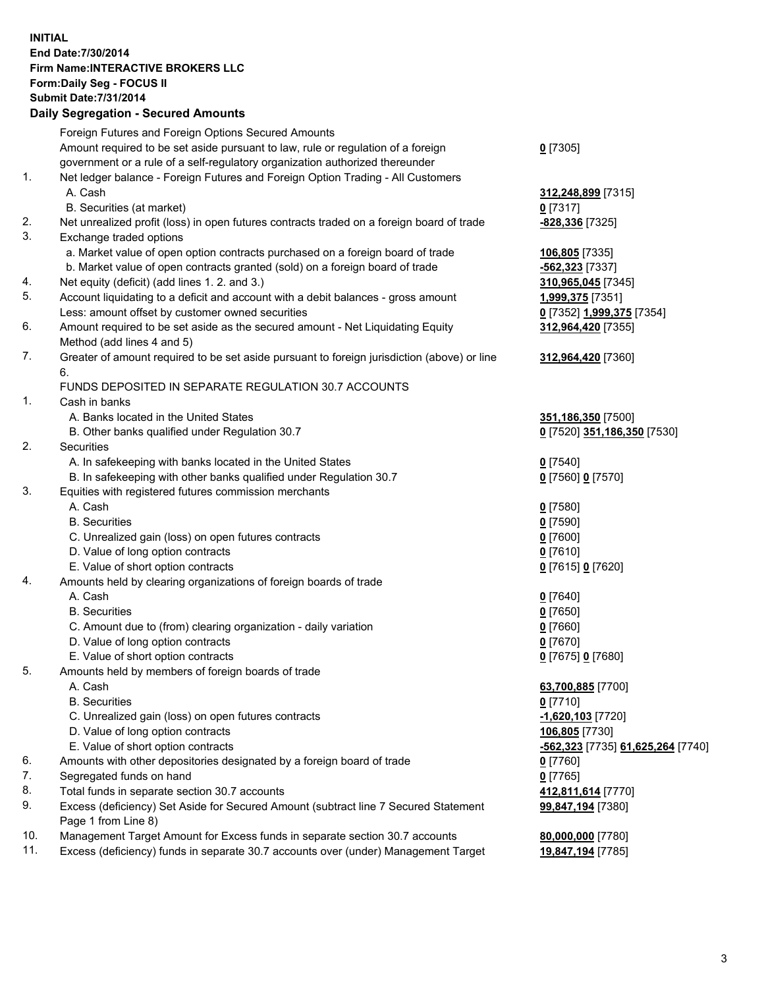## **INITIAL End Date:7/30/2014 Firm Name:INTERACTIVE BROKERS LLC Form:Daily Seg - FOCUS II Submit Date:7/31/2014 Daily Segregation - Secured Amounts**

|                | Daily Ocglegation - Occarea Anioants                                                                       |                                   |
|----------------|------------------------------------------------------------------------------------------------------------|-----------------------------------|
|                | Foreign Futures and Foreign Options Secured Amounts                                                        |                                   |
|                | Amount required to be set aside pursuant to law, rule or regulation of a foreign                           | $0$ [7305]                        |
|                | government or a rule of a self-regulatory organization authorized thereunder                               |                                   |
| 1.             | Net ledger balance - Foreign Futures and Foreign Option Trading - All Customers                            |                                   |
|                | A. Cash                                                                                                    | 312,248,899 [7315]                |
|                | B. Securities (at market)                                                                                  | $0$ [7317]                        |
| 2.             | Net unrealized profit (loss) in open futures contracts traded on a foreign board of trade                  | -828,336 [7325]                   |
| 3.             | Exchange traded options                                                                                    |                                   |
|                | a. Market value of open option contracts purchased on a foreign board of trade                             | 106,805 [7335]                    |
|                | b. Market value of open contracts granted (sold) on a foreign board of trade                               | -562,323 [7337]                   |
| 4.             | Net equity (deficit) (add lines 1.2. and 3.)                                                               | 310,965,045 [7345]                |
| 5.             | Account liquidating to a deficit and account with a debit balances - gross amount                          | 1,999,375 [7351]                  |
|                | Less: amount offset by customer owned securities                                                           | 0 [7352] 1,999,375 [7354]         |
| 6.             | Amount required to be set aside as the secured amount - Net Liquidating Equity                             | 312,964,420 [7355]                |
|                | Method (add lines 4 and 5)                                                                                 |                                   |
| 7.             | Greater of amount required to be set aside pursuant to foreign jurisdiction (above) or line                | 312,964,420 [7360]                |
|                | 6.                                                                                                         |                                   |
|                | FUNDS DEPOSITED IN SEPARATE REGULATION 30.7 ACCOUNTS                                                       |                                   |
| $\mathbf{1}$ . | Cash in banks                                                                                              |                                   |
|                | A. Banks located in the United States                                                                      | 351,186,350 [7500]                |
|                | B. Other banks qualified under Regulation 30.7                                                             | 0 [7520] 351,186,350 [7530]       |
| 2.             | Securities                                                                                                 |                                   |
|                | A. In safekeeping with banks located in the United States                                                  | $0$ [7540]                        |
|                | B. In safekeeping with other banks qualified under Regulation 30.7                                         | 0 [7560] 0 [7570]                 |
| 3.             | Equities with registered futures commission merchants                                                      |                                   |
|                | A. Cash                                                                                                    | $0$ [7580]                        |
|                | <b>B.</b> Securities                                                                                       | $0$ [7590]                        |
|                | C. Unrealized gain (loss) on open futures contracts                                                        | $0$ [7600]                        |
|                | D. Value of long option contracts                                                                          | $0$ [7610]                        |
|                | E. Value of short option contracts                                                                         | 0 [7615] 0 [7620]                 |
| 4.             | Amounts held by clearing organizations of foreign boards of trade                                          |                                   |
|                | A. Cash                                                                                                    | $0$ [7640]                        |
|                | <b>B.</b> Securities                                                                                       | $0$ [7650]                        |
|                | C. Amount due to (from) clearing organization - daily variation                                            | $0$ [7660]                        |
|                | D. Value of long option contracts                                                                          | $0$ [7670]                        |
|                | E. Value of short option contracts                                                                         | 0 [7675] 0 [7680]                 |
| 5.             | Amounts held by members of foreign boards of trade                                                         |                                   |
|                | A. Cash                                                                                                    | 63,700,885 [7700]                 |
|                | <b>B.</b> Securities                                                                                       | $0$ [7710]                        |
|                | C. Unrealized gain (loss) on open futures contracts                                                        | $-1,620,103$ [7720]               |
|                | D. Value of long option contracts                                                                          | 106,805 [7730]                    |
|                | E. Value of short option contracts                                                                         | -562,323 [7735] 61,625,264 [7740] |
| 6.             | Amounts with other depositories designated by a foreign board of trade                                     | $0$ [7760]                        |
| 7.             | Segregated funds on hand                                                                                   | $0$ [7765]                        |
| 8.             | Total funds in separate section 30.7 accounts                                                              | 412,811,614 [7770]                |
| 9.             | Excess (deficiency) Set Aside for Secured Amount (subtract line 7 Secured Statement<br>Page 1 from Line 8) | 99,847,194 [7380]                 |
| 10.            | Management Target Amount for Excess funds in separate section 30.7 accounts                                | 80,000,000 [7780]                 |
| 11.            | Excess (deficiency) funds in separate 30.7 accounts over (under) Management Target                         | 19,847,194 [7785]                 |
|                |                                                                                                            |                                   |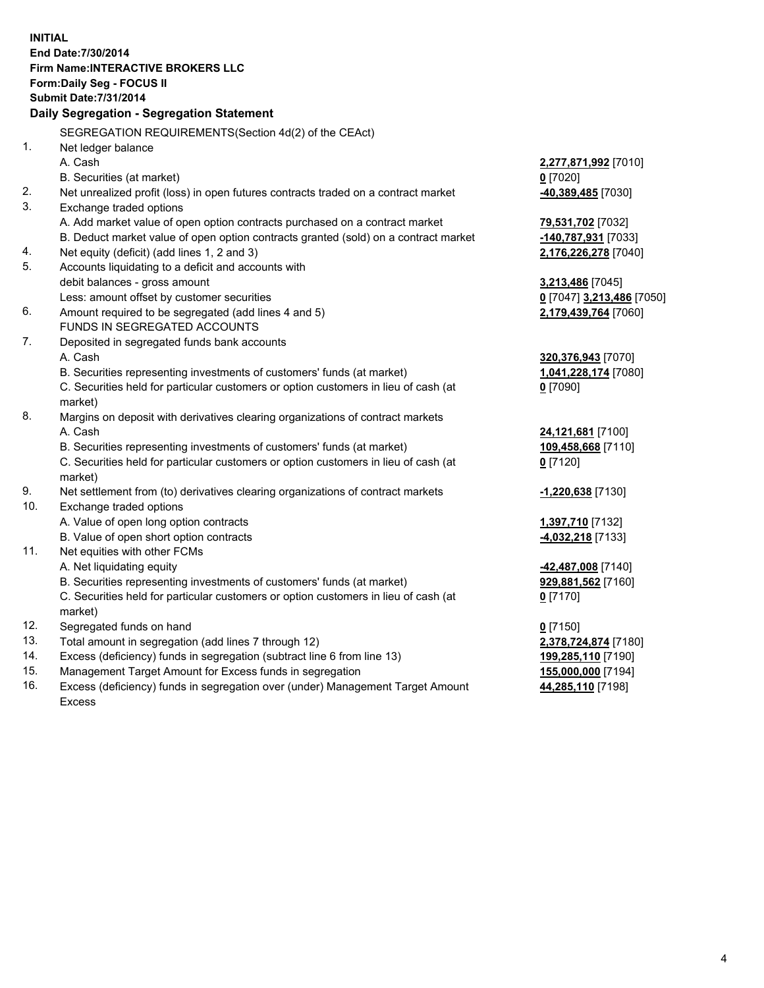**INITIAL End Date:7/30/2014 Firm Name:INTERACTIVE BROKERS LLC Form:Daily Seg - FOCUS II Submit Date:7/31/2014 Daily Segregation - Segregation Statement** SEGREGATION REQUIREMENTS(Section 4d(2) of the CEAct) 1. Net ledger balance A. Cash **2,277,871,992** [7010] B. Securities (at market) **0** [7020] 2. Net unrealized profit (loss) in open futures contracts traded on a contract market **-40,389,485** [7030] 3. Exchange traded options A. Add market value of open option contracts purchased on a contract market **79,531,702** [7032] B. Deduct market value of open option contracts granted (sold) on a contract market **-140,787,931** [7033] 4. Net equity (deficit) (add lines 1, 2 and 3) **2,176,226,278** [7040] 5. Accounts liquidating to a deficit and accounts with debit balances - gross amount **3,213,486** [7045] Less: amount offset by customer securities **0** [7047] **3,213,486** [7050] 6. Amount required to be segregated (add lines 4 and 5) **2,179,439,764** [7060] FUNDS IN SEGREGATED ACCOUNTS 7. Deposited in segregated funds bank accounts A. Cash **320,376,943** [7070] B. Securities representing investments of customers' funds (at market) **1,041,228,174** [7080] C. Securities held for particular customers or option customers in lieu of cash (at market) **0** [7090] 8. Margins on deposit with derivatives clearing organizations of contract markets A. Cash **24,121,681** [7100] B. Securities representing investments of customers' funds (at market) **109,458,668** [7110] C. Securities held for particular customers or option customers in lieu of cash (at market) **0** [7120] 9. Net settlement from (to) derivatives clearing organizations of contract markets **-1,220,638** [7130] 10. Exchange traded options A. Value of open long option contracts **1,397,710** [7132] B. Value of open short option contracts **-4,032,218** [7133] 11. Net equities with other FCMs A. Net liquidating equity **-42,487,008** [7140] B. Securities representing investments of customers' funds (at market) **929,881,562** [7160] C. Securities held for particular customers or option customers in lieu of cash (at market) **0** [7170] 12. Segregated funds on hand **0** [7150] 13. Total amount in segregation (add lines 7 through 12) **2,378,724,874** [7180] 14. Excess (deficiency) funds in segregation (subtract line 6 from line 13) **199,285,110** [7190] 15. Management Target Amount for Excess funds in segregation **155,000,000** [7194]

16. Excess (deficiency) funds in segregation over (under) Management Target Amount Excess

**44,285,110** [7198]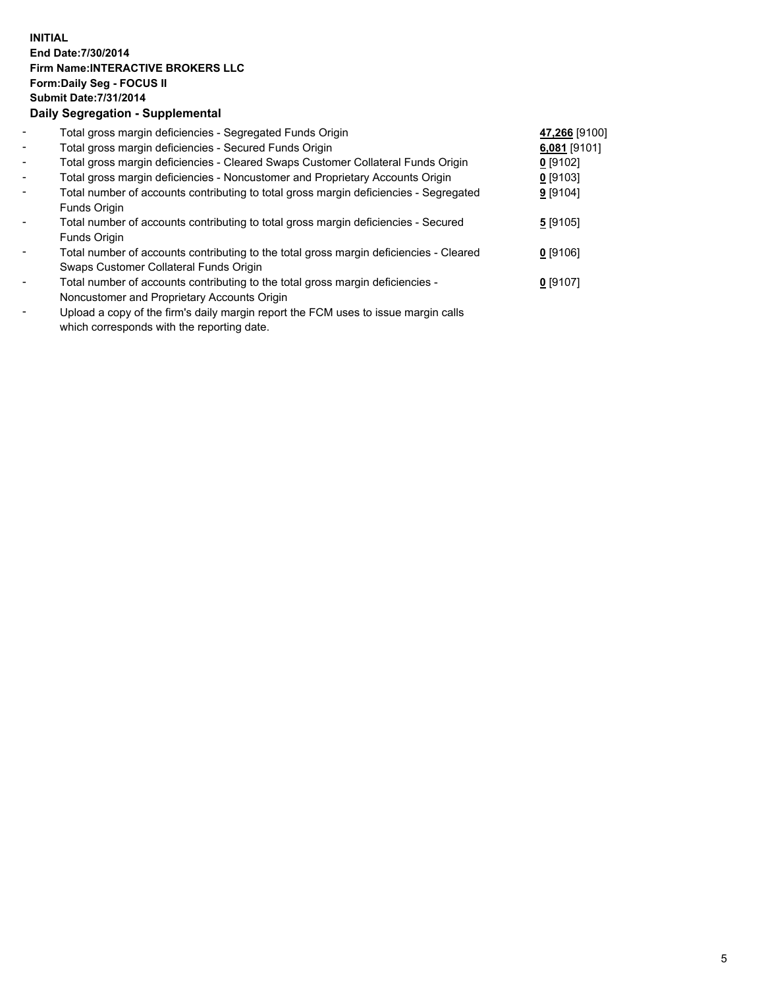## **INITIAL End Date:7/30/2014 Firm Name:INTERACTIVE BROKERS LLC Form:Daily Seg - FOCUS II Submit Date:7/31/2014 Daily Segregation - Supplemental**

| $\blacksquare$ | Total gross margin deficiencies - Segregated Funds Origin                              | 47,266 [9100] |  |
|----------------|----------------------------------------------------------------------------------------|---------------|--|
| $\blacksquare$ | Total gross margin deficiencies - Secured Funds Origin                                 | 6,081 [9101]  |  |
| $\blacksquare$ | Total gross margin deficiencies - Cleared Swaps Customer Collateral Funds Origin       | $0$ [9102]    |  |
| $\blacksquare$ | Total gross margin deficiencies - Noncustomer and Proprietary Accounts Origin          | $0$ [9103]    |  |
| $\sim$         | Total number of accounts contributing to total gross margin deficiencies - Segregated  | $9$ [9104]    |  |
|                | Funds Origin                                                                           |               |  |
| $\blacksquare$ | Total number of accounts contributing to total gross margin deficiencies - Secured     | 5[9105]       |  |
|                | Funds Origin                                                                           |               |  |
|                | Total number of accounts contributing to the total gross margin deficiencies - Cleared | $0$ [9106]    |  |
|                | Swaps Customer Collateral Funds Origin                                                 |               |  |
|                | Total number of accounts contributing to the total gross margin deficiencies -         | $0$ [9107]    |  |
|                | Noncustomer and Proprietary Accounts Origin                                            |               |  |
|                |                                                                                        |               |  |

- Upload a copy of the firm's daily margin report the FCM uses to issue margin calls which corresponds with the reporting date.